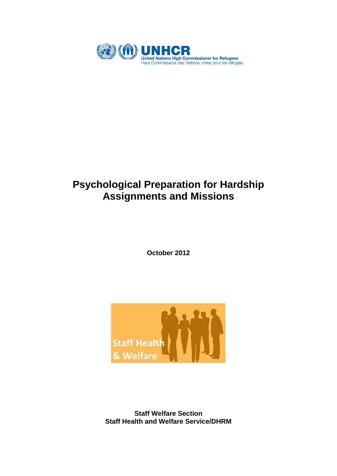

# **Psychological Preparation for Hardship Assignments and Missions**

**October 2012**

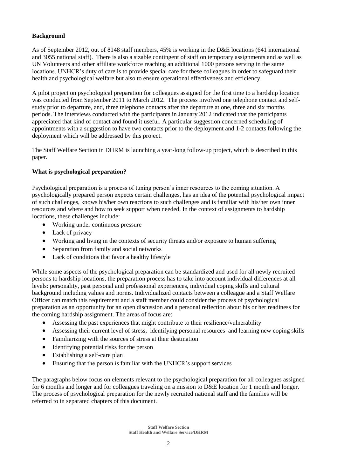### **Background**

As of September 2012, out of 8148 staff members, 45% is working in the D&E locations (641 international and 3055 national staff). There is also a sizable contingent of staff on temporary assignments and as well as UN Volunteers and other affiliate workforce reaching an additional 1000 persons serving in the same locations. UNHCR's duty of care is to provide special care for these colleagues in order to safeguard their health and psychological welfare but also to ensure operational effectiveness and efficiency.

A pilot project on psychological preparation for colleagues assigned for the first time to a hardship location was conducted from September 2011 to March 2012. The process involved one telephone contact and selfstudy prior to departure, and, three telephone contacts after the departure at one, three and six months periods. The interviews conducted with the participants in January 2012 indicated that the participants appreciated that kind of contact and found it useful. A particular suggestion concerned scheduling of appointments with a suggestion to have two contacts prior to the deployment and 1-2 contacts following the deployment which will be addressed by this project.

The Staff Welfare Section in DHRM is launching a year-long follow-up project, which is described in this paper.

#### **What is psychological preparation?**

Psychological preparation is a process of tuning person's inner resources to the coming situation. A psychologically prepared person expects certain challenges, has an idea of the potential psychological impact of such challenges, knows his/her own reactions to such challenges and is familiar with his/her own inner resources and where and how to seek support when needed. In the context of assignments to hardship locations, these challenges include:

- Working under continuous pressure
- Lack of privacy
- Working and living in the contexts of security threats and/or exposure to human suffering
- Separation from family and social networks
- Lack of conditions that favor a healthy lifestyle

While some aspects of the psychological preparation can be standardized and used for all newly recruited persons to hardship locations, the preparation process has to take into account individual differences at all levels: personality, past personal and professional experiences, individual coping skills and cultural background including values and norms. Individualized contacts between a colleague and a Staff Welfare Officer can match this requirement and a staff member could consider the process of psychological preparation as an opportunity for an open discussion and a personal reflection about his or her readiness for the coming hardship assignment. The areas of focus are:

- Assessing the past experiences that might contribute to their resilience/vulnerability
- Assessing their current level of stress, identifying personal resources and learning new coping skills
- Familiarizing with the sources of stress at their destination
- Identifying potential risks for the person
- Establishing a self-care plan
- Ensuring that the person is familiar with the UNHCR's support services

The paragraphs below focus on elements relevant to the psychological preparation for all colleagues assigned for 6 months and longer and for colleagues traveling on a mission to D&E location for 1 month and longer. The process of psychological preparation for the newly recruited national staff and the families will be referred to in separated chapters of this document.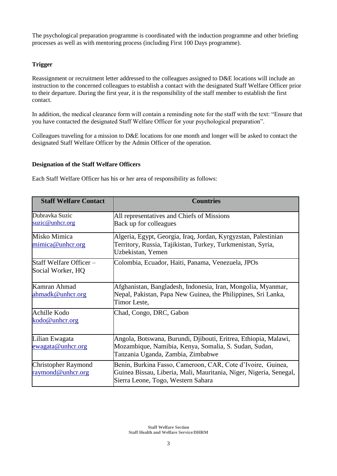The psychological preparation programme is coordinated with the induction programme and other briefing processes as well as with mentoring process (including First 100 Days programme).

#### **Trigger**

Reassignment or recruitment letter addressed to the colleagues assigned to D&E locations will include an instruction to the concerned colleagues to establish a contact with the designated Staff Welfare Officer prior to their departure. During the first year, it is the responsibility of the staff member to establish the first contact.

In addition, the medical clearance form will contain a reminding note for the staff with the text: "Ensure that you have contacted the designated Staff Welfare Officer for your psychological preparation".

Colleagues traveling for a mission to D&E locations for one month and longer will be asked to contact the designated Staff Welfare Officer by the Admin Officer of the operation.

#### **Designation of the Staff Welfare Officers**

Each Staff Welfare Officer has his or her area of responsibility as follows:

| <b>Staff Welfare Contact</b>                    | <b>Countries</b>                                                                                                                                                        |  |
|-------------------------------------------------|-------------------------------------------------------------------------------------------------------------------------------------------------------------------------|--|
| Dubravka Suzic<br>suzic@unhcr.org               | All representatives and Chiefs of Missions<br>Back up for colleagues                                                                                                    |  |
| Misko Mimica<br>mimica@unhcr.org                | Algeria, Egypt, Georgia, Iraq, Jordan, Kyrgyzstan, Palestinian<br>Territory, Russia, Tajikistan, Turkey, Turkmenistan, Syria,<br>Uzbekistan, Yemen                      |  |
| Staff Welfare Officer -<br>Social Worker, HQ    | Colombia, Ecuador, Haiti, Panama, Venezuela, JPOs                                                                                                                       |  |
| Kamran Ahmad<br>ahmadk@unhcr.org                | Afghanistan, Bangladesh, Indonesia, Iran, Mongolia, Myanmar,<br>Nepal, Pakistan, Papa New Guinea, the Philippines, Sri Lanka,<br>Timor Leste,                           |  |
| Achille Kodo<br>kodo@unhcr.org                  | Chad, Congo, DRC, Gabon                                                                                                                                                 |  |
| Lilian Ewagata<br>ewagata@unhcr.org             | Angola, Botswana, Burundi, Djibouti, Eritrea, Ethiopia, Malawi,<br>Mozambique, Namibia, Kenya, Somalia, S. Sudan, Sudan,<br>Tanzania Uganda, Zambia, Zimbabwe           |  |
| <b>Christopher Raymond</b><br>raymond@unhcr.org | Benin, Burkina Fasso, Cameroon, CAR, Cote d'Ivoire, Guinea,<br>Guinea Bissau, Liberia, Mali, Mauritania, Niger, Nigeria, Senegal,<br>Sierra Leone, Togo, Western Sahara |  |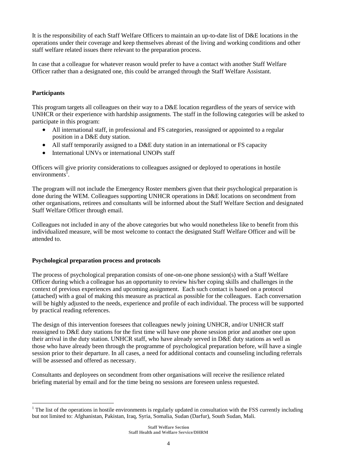It is the responsibility of each Staff Welfare Officers to maintain an up-to-date list of D&E locations in the operations under their coverage and keep themselves abreast of the living and working conditions and other staff welfare related issues there relevant to the preparation process.

In case that a colleague for whatever reason would prefer to have a contact with another Staff Welfare Officer rather than a designated one, this could be arranged through the Staff Welfare Assistant.

#### **Participants**

 $\overline{a}$ 

This program targets all colleagues on their way to a D&E location regardless of the years of service with UNHCR or their experience with hardship assignments. The staff in the following categories will be asked to participate in this program:

- All international staff, in professional and FS categories, reassigned or appointed to a regular position in a D&E duty station.
- All staff temporarily assigned to a D&E duty station in an international or FS capacity
- International UNVs or international UNOPs staff

Officers will give priority considerations to colleagues assigned or deployed to operations in hostile environments<sup>1</sup>.

The program will not include the Emergency Roster members given that their psychological preparation is done during the WEM. Colleagues supporting UNHCR operations in D&E locations on secondment from other organisations, retirees and consultants will be informed about the Staff Welfare Section and designated Staff Welfare Officer through email.

Colleagues not included in any of the above categories but who would nonetheless like to benefit from this individualized measure, will be most welcome to contact the designated Staff Welfare Officer and will be attended to.

#### **Psychological preparation process and protocols**

The process of psychological preparation consists of one-on-one phone session(s) with a Staff Welfare Officer during which a colleague has an opportunity to review his/her coping skills and challenges in the context of previous experiences and upcoming assignment. Each such contact is based on a protocol (attached) with a goal of making this measure as practical as possible for the colleagues. Each conversation will be highly adjusted to the needs, experience and profile of each individual. The process will be supported by practical reading references.

The design of this intervention foresees that colleagues newly joining UNHCR, and/or UNHCR staff reassigned to D&E duty stations for the first time will have one phone session prior and another one upon their arrival in the duty station. UNHCR staff, who have already served in D&E duty stations as well as those who have already been through the programme of psychological preparation before, will have a single session prior to their departure. In all cases, a need for additional contacts and counseling including referrals will be assessed and offered as necessary.

Consultants and deployees on secondment from other organisations will receive the resilience related briefing material by email and for the time being no sessions are foreseen unless requested.

 $<sup>1</sup>$  The list of the operations in hostile environments is regularly updated in consultation with the FSS currently including</sup> but not limited to: Afghanistan, Pakistan, Iraq, Syria, Somalia, Sudan (Darfur), South Sudan, Mali.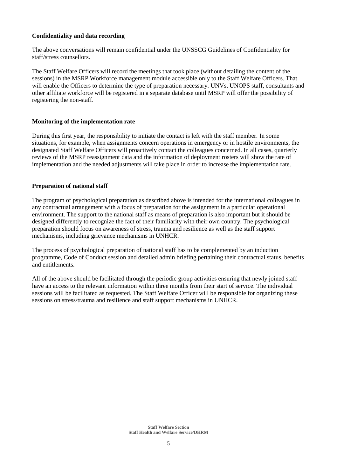#### **Confidentiality and data recording**

The above conversations will remain confidential under the UNSSCG Guidelines of Confidentiality for staff/stress counsellors.

The Staff Welfare Officers will record the meetings that took place (without detailing the content of the sessions) in the MSRP Workforce management module accessible only to the Staff Welfare Officers. That will enable the Officers to determine the type of preparation necessary. UNVs, UNOPS staff, consultants and other affiliate workforce will be registered in a separate database until MSRP will offer the possibility of registering the non-staff.

#### **Monitoring of the implementation rate**

During this first year, the responsibility to initiate the contact is left with the staff member. In some situations, for example, when assignments concern operations in emergency or in hostile environments, the designated Staff Welfare Officers will proactively contact the colleagues concerned. In all cases, quarterly reviews of the MSRP reassignment data and the information of deployment rosters will show the rate of implementation and the needed adjustments will take place in order to increase the implementation rate.

#### **Preparation of national staff**

The program of psychological preparation as described above is intended for the international colleagues in any contractual arrangement with a focus of preparation for the assignment in a particular operational environment. The support to the national staff as means of preparation is also important but it should be designed differently to recognize the fact of their familiarity with their own country. The psychological preparation should focus on awareness of stress, trauma and resilience as well as the staff support mechanisms, including grievance mechanisms in UNHCR.

The process of psychological preparation of national staff has to be complemented by an induction programme, Code of Conduct session and detailed admin briefing pertaining their contractual status, benefits and entitlements.

All of the above should be facilitated through the periodic group activities ensuring that newly joined staff have an access to the relevant information within three months from their start of service. The individual sessions will be facilitated as requested. The Staff Welfare Officer will be responsible for organizing these sessions on stress/trauma and resilience and staff support mechanisms in UNHCR.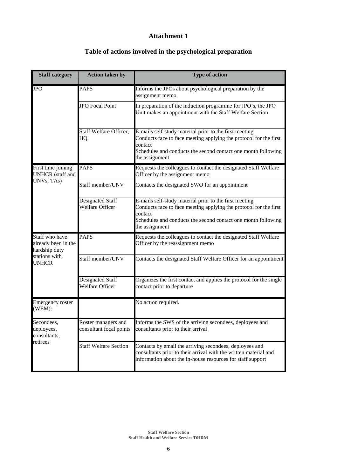# **Attachment 1**

| <b>Staff category</b>                                                                   | <b>Action taken by</b>                         | <b>Type of action</b>                                                                                                                                                                                                     |
|-----------------------------------------------------------------------------------------|------------------------------------------------|---------------------------------------------------------------------------------------------------------------------------------------------------------------------------------------------------------------------------|
| <b>JPO</b>                                                                              | <b>PAPS</b>                                    | Informs the JPOs about psychological preparation by the<br>assignment memo                                                                                                                                                |
|                                                                                         | <b>JPO</b> Focal Point                         | In preparation of the induction programme for JPO's, the JPO<br>Unit makes an appointment with the Staff Welfare Section                                                                                                  |
|                                                                                         | Staff Welfare Officer,<br>HQ                   | E-mails self-study material prior to the first meeting<br>Conducts face to face meeting applying the protocol for the first<br>contact<br>Schedules and conducts the second contact one month following<br>the assignment |
| First time joining<br><b>UNHCR</b> (staff and<br>UNVs, TAs)                             | <b>PAPS</b>                                    | Requests the colleagues to contact the designated Staff Welfare<br>Officer by the assignment memo                                                                                                                         |
|                                                                                         | Staff member/UNV                               | Contacts the designated SWO for an appointment                                                                                                                                                                            |
|                                                                                         | Designated Staff<br>Welfare Officer            | E-mails self-study material prior to the first meeting<br>Conducts face to face meeting applying the protocol for the first<br>contact<br>Schedules and conducts the second contact one month following<br>the assignment |
| Staff who have<br>already been in the<br>hardship duty<br>stations with<br><b>UNHCR</b> | <b>PAPS</b>                                    | Requests the colleagues to contact the designated Staff Welfare<br>Officer by the reassignment memo                                                                                                                       |
|                                                                                         | Staff member/UNV                               | Contacts the designated Staff Welfare Officer for an appointment                                                                                                                                                          |
|                                                                                         | Designated Staff<br>Welfare Officer            | Organizes the first contact and applies the protocol for the single<br>contact prior to departure                                                                                                                         |
| Emergency roster<br>(WEM):                                                              |                                                | No action required.                                                                                                                                                                                                       |
| Secondees,<br>deployees,<br>consultants,<br>retirees                                    | Roster managers and<br>consultant focal points | Informs the SWS of the arriving secondees, deployees and<br>consultants prior to their arrival                                                                                                                            |
|                                                                                         | <b>Staff Welfare Section</b>                   | Contacts by email the arriving secondees, deployees and<br>consultants prior to their arrival with the written material and<br>information about the in-house resources for staff support                                 |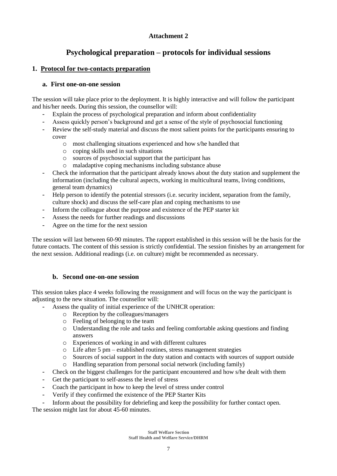# **Attachment 2**

# **Psychological preparation – protocols for individual sessions**

# **1. Protocol for two-contacts preparation**

# **a. First one-on-one session**

The session will take place prior to the deployment. It is highly interactive and will follow the participant and his/her needs. During this session, the counsellor will:

- Explain the process of psychological preparation and inform about confidentiality
- Assess quickly person's background and get a sense of the style of psychosocial functioning
- Review the self-study material and discuss the most salient points for the participants ensuring to cover
	- o most challenging situations experienced and how s/he handled that
	- o coping skills used in such situations
	- o sources of psychosocial support that the participant has
	- o maladaptive coping mechanisms including substance abuse
- Check the information that the participant already knows about the duty station and supplement the information (including the cultural aspects, working in multicultural teams, living conditions, general team dynamics)
- Help person to identify the potential stressors (i.e. security incident, separation from the family, culture shock) and discuss the self-care plan and coping mechanisms to use
- Inform the colleague about the purpose and existence of the PEP starter kit
- Assess the needs for further readings and discussions
- Agree on the time for the next session

The session will last between 60-90 minutes. The rapport established in this session will be the basis for the future contacts. The content of this session is strictly confidential. The session finishes by an arrangement for the next session. Additional readings (i.e. on culture) might be recommended as necessary.

# **b. Second one-on-one session**

This session takes place 4 weeks following the reassignment and will focus on the way the participant is adjusting to the new situation. The counsellor will:

- Assess the quality of initial experience of the UNHCR operation:
	- o Reception by the colleagues/managers
	- o Feeling of belonging to the team
	- o Understanding the role and tasks and feeling comfortable asking questions and finding answers
	- o Experiences of working in and with different cultures
	- o Life after 5 pm established routines, stress management strategies
	- o Sources of social support in the duty station and contacts with sources of support outside
	- o Handling separation from personal social network (including family)
- Check on the biggest challenges for the participant encountered and how s/he dealt with them
- Get the participant to self-assess the level of stress
- Coach the participant in how to keep the level of stress under control
- Verify if they confirmed the existence of the PEP Starter Kits

- Inform about the possibility for debriefing and keep the possibility for further contact open. The session might last for about 45-60 minutes.